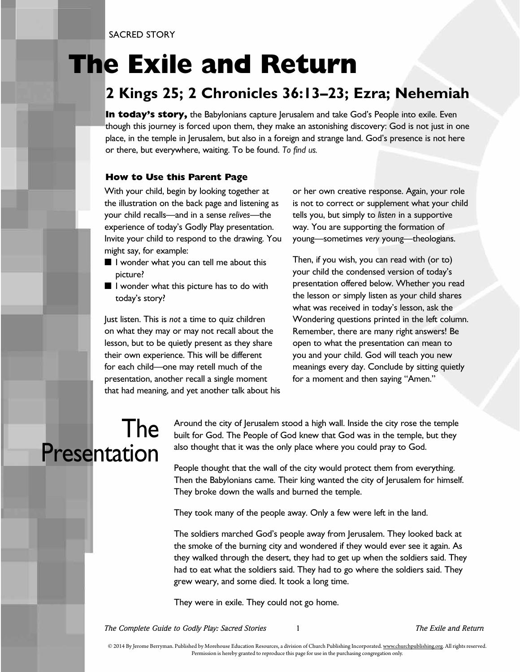SACRED STORY

## **The Exile and Return**

#### **2 Kings 25; 2 Chronicles 36:13–23; Ezra; Nehemiah**

**In today's story,** the Babylonians capture Jerusalem and take God's People into exile. Even though this journey is forced upon them, they make an astonishing discovery: God is not just in one place, in the temple in Jerusalem, but also in a foreign and strange land. God's presence is not here or there, but everywhere, waiting. To be found. *To find us.*

#### **How to Use this Parent Page**

With your child, begin by looking together at the illustration on the back page and listening as your child recalls—and in a sense *relives*—the experience of today's Godly Play presentation. Invite your child to respond to the drawing. You might say, for example:

- I wonder what you can tell me about this picture?
- I wonder what this picture has to do with today's story?

Just listen. This is *not* a time to quiz children on what they may or may not recall about the lesson, but to be quietly present as they share their own experience. This will be different for each child—one may retell much of the presentation, another recall a single moment that had meaning, and yet another talk about his or her own creative response. Again, your role is not to correct or supplement what your child tells you, but simply to *listen* in a supportive way. You are supporting the formation of young—sometimes *very* young—theologians.

Then, if you wish, you can read with (or to) your child the condensed version of today's presentation offered below. Whether you read the lesson or simply listen as your child shares what was received in today's lesson, ask the Wondering questions printed in the left column. Remember, there are many right answers! Be open to what the presentation can mean to you and your child. God will teach you new meanings every day. Conclude by sitting quietly for a moment and then saying "Amen."

#### The Presentation

Around the city of Jerusalem stood a high wall. Inside the city rose the temple built for God. The People of God knew that God was in the temple, but they also thought that it was the only place where you could pray to God.

People thought that the wall of the city would protect them from everything. Then the Babylonians came. Their king wanted the city of Jerusalem for himself. They broke down the walls and burned the temple.

They took many of the people away. Only a few were left in the land.

The soldiers marched God's people away from Jerusalem. They looked back at the smoke of the burning city and wondered if they would ever see it again. As they walked through the desert, they had to get up when the soldiers said. They had to eat what the soldiers said. They had to go where the soldiers said. They grew weary, and some died. It took a long time.

They were in exile. They could not go home.

*The Complete Guide to Godly Play: Sacred Stories* 1 *The Exile and Return*